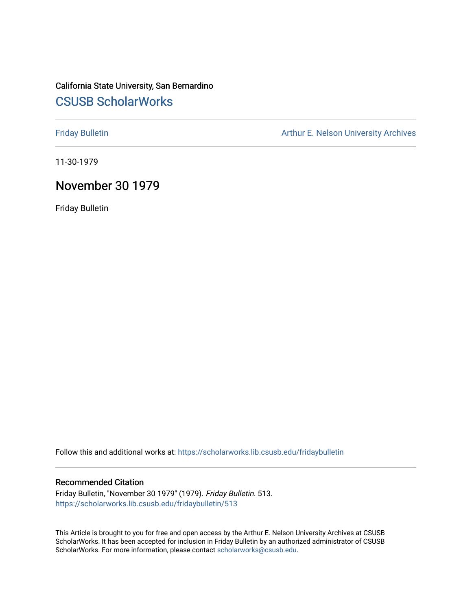# California State University, San Bernardino [CSUSB ScholarWorks](https://scholarworks.lib.csusb.edu/)

[Friday Bulletin](https://scholarworks.lib.csusb.edu/fridaybulletin) **Arthur E. Nelson University Archives** Arthur E. Nelson University Archives

11-30-1979

## November 30 1979

Friday Bulletin

Follow this and additional works at: [https://scholarworks.lib.csusb.edu/fridaybulletin](https://scholarworks.lib.csusb.edu/fridaybulletin?utm_source=scholarworks.lib.csusb.edu%2Ffridaybulletin%2F513&utm_medium=PDF&utm_campaign=PDFCoverPages)

## Recommended Citation

Friday Bulletin, "November 30 1979" (1979). Friday Bulletin. 513. [https://scholarworks.lib.csusb.edu/fridaybulletin/513](https://scholarworks.lib.csusb.edu/fridaybulletin/513?utm_source=scholarworks.lib.csusb.edu%2Ffridaybulletin%2F513&utm_medium=PDF&utm_campaign=PDFCoverPages)

This Article is brought to you for free and open access by the Arthur E. Nelson University Archives at CSUSB ScholarWorks. It has been accepted for inclusion in Friday Bulletin by an authorized administrator of CSUSB ScholarWorks. For more information, please contact [scholarworks@csusb.edu.](mailto:scholarworks@csusb.edu)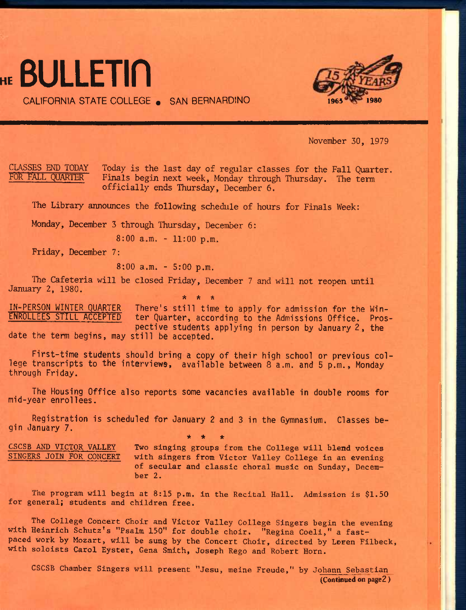

CALIFORNIA STATE COLLEGE . SAN BERNARDINO



November 30, 1979

CLASSES END TODAY Today is the last day of regular classes for the Fall Quarter.<br>FOR FALL OUARTER Finals begin next week. Monday through Thursday. The term Finals begin next week, Monday through Thursday. The term officially ends Thursday, December 6.

The Library announces the following schedule of hours for Finals Week:

Monday, December 3 through Thursday, December 6:

8:00 a.m. - 11:00 p.m.

Friday, December 7:

8:00 a.m. - 5:00 p.m.

The Cafeteria will be closed Friday, December 7 and will not reopen until January 2, 1980. **\* \* \*** 

IN-PERSON WINTER QUARTER There's still time to apply for admission for the Win-<br>**ENROLLEES STILL ACCEPTED** ter Quarter, according to the Admissions Office. Proster Quarter, according to the Admissions Office. Pros**pective students applying 1n person by January 2, the date the term begins, may still be accepted.** 

**First-time students should bring a copy of their high school or previous college transcripts to the interviews, available between 8 a.m. and 5 p.m., Monday through Friday.** 

**The Housing Office also reports some vacancies available in double rooms for mid-year enrollees.** 

**Registration is scheduled for January 2 and 3 in the Gymnasium. Classes begin January** 7. **\* \* \*** 

CSCSB AND VICTOR VALLEY Two singing groups from the College will blend voices<br>SINGERS JOIN FOR CONCERT with singers from Victor Valley College in an evening with singers from Victor Valley College in an evening of secular and classic choral music on Sunday, December 2.

The program will begin at 8:15 p.m. in the Recital Hall. Admission is \$1.50 for general; students and children free.

The College Concert Choir and Victor Valley College Singers begin the evening with Heinrich Schutz's "Psalm 150" for double choir. "Regina Coeli," a fastpaced work by Mozart, will be sung by the Concert Choir, directed by Loren Filbeck, with soloists Carol Eyster, Gena Smith, Joseph Rego and Robert Horn.

CSCSB Chamber Singers will present "Jesu, meine Freude," by Johann Sebastian **(Continued on** page2 )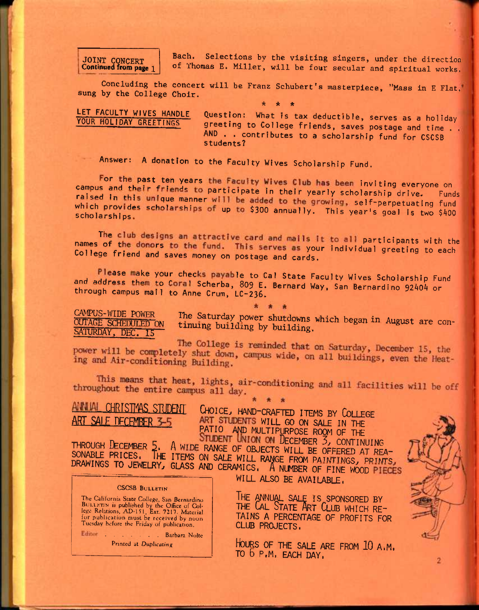## **JOINT CONCERT Continued from page 1**

Bach. Selections by the visiting singers, under the direction of Thomas E. Miller, will be four secular and spiritual works.

Concluding the concert will be Franz Schubert's masterpiece, "Mass in E Flat,' sung by the College Choir.

**\* \* \*** 

## LET FACULTY WIVES HANDLE YOUR HOLIDAY **GREETINGS**

Question: What is tax deductible, serves as a holiday greeting to College friends, saves postage and time . . AND . . contributes to a scholarship fund for CSCSB students?

Answer: A donation to the Faculty Wives Scholarship Fund.

For the past ten years the Faculty Wives Club has been inviting everyone on<br>It and their friends to participate in their yearly scholarship drive. Funds campus and their friends to participate in their yearly scholarship drive. raised in this unique manner will be added to the growing, self-perpetuating fund which provides scholarships of up to \$300 annually. This year's goal is two \$400

The club designs an attractive card and mails it to all participants with the names of the donors to the fund. This serves as your individual greeting to each College friend and saves money on postage and cards.

Please make your checks payable to Cal State Faculty Wives Scholarship Fund and address them to Coral Scherba, 809 E. Bernard Way, San Bernardino 92404 or through campus mail to Anne Crum, LC-236,

CAMPUS-WIDE POWER OUTAGE SCHEDULED ON SATURDAY, DEC. 15

Ine Saturday power shutdowns which began in August are continuing building by building.

The College is reminded that on Saturday, December 15, the power will be completely shut down, campus wide, on all buildings, even the Heating and Air-conditioning Building. ing and Air-conditioning Building.

This means that heat, lights, air-conditioning and all facilities will be off uphout the entire campus all day throughout the entire campus all day.

**ANNUAL CHRISTMAS STUDENT CHOICE, HAND-CRAFTED ITEMS BY COLLEGE** ART STUDENTS WILL GO ON SALE IN THE PATIO AND MULTIPURPOSE ROOM OF THE **STUDENT UNION ON DECEMBER 3, CONTINUING** 

THROUGH DECEMBER 5. A WIDE RANGE OF OBJECTS WILL BE OFFERED AT REA-<br>SOMABLE PRICES. THE ITEMS ON SALE WILL RANGE FROM PAINTINGS. PRINTS DRAWINGS TO JEWELRY, GLASS AND CERAMICS. A NUMBER OF FINE WOOD PIECES

CSCSB BULLETIN

The California State College, San Bernardino BULLETIN is published by the Office of Col-lege Relations, AD-151. Ext. 7217. Material fur publication must be received by noon Tuesday before the Friday of publication.

Editor . . . . . . Barbara Nolte Printed at Duplicating

**WILL ALSO BE AVAILABLE,** 

THE ANNUAL SALE IS SPONSORED BY THE **C**AL **S**TATE **A**RT **C**LUB WHICH RE-TAINS A PERCENTAGE OF PROFITS FOR CLUB PROJECTS.

**H**OURS OF THE SALE ARE FROM **10** A.M. TO **b** P.M. EACH DAY.

 $\overline{2}$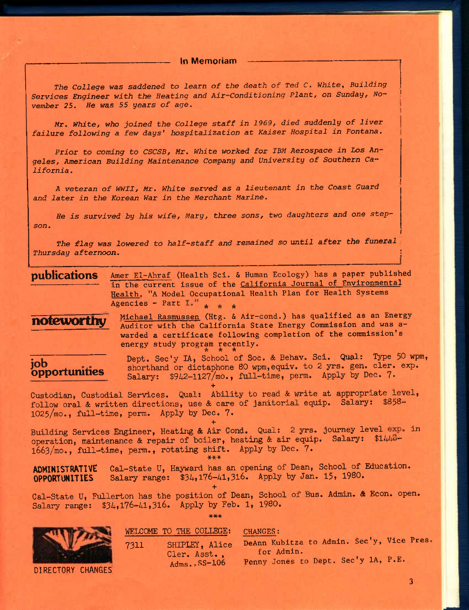**In Memoriam** 

The College was saddened to learn of the death of Ted C. White, Building *Services Engineer with the Heating and Air-Conditioning Plant, on Sunday, No"*  vember 25. He was 55 years of age.

*Mr, White, who joined the College staff in 1969, died suddenly of liver failure following a few days' hospitalization at Kaiser Hospital in Fontana.* 

*Prior to coming to CSCSB, Mr. White worked for IBM Aerospace in Los Angeles, American Building Maintenance Company and University of Southern California.* 

*A veteran of WWII, Mr. White served as a lieutenant in the Coast Guard and later in the Korean War in the Merchant Marine.* 

*He is survived by his wife, Mary, three sons, two daughters and one stepson.* 

The flag was lowered to half-staff and remained so until after the funeral *Thursday afternoon. \* 

**publications** Amer El-Ahraf (Health Sci. & Human Ecology) has a paper published in the current issue of the California Journal of Environmental Health. "A Model Occupational Health Plan for Health Systems Agencies - Part I."  $\star$   $\star$   $\star$ 

**noteworthy** 

Michael Rasmussen (Htg. & Air-cond.) has qualified as an Energy Auditor with the California State Energy Commission and was awarded a certificate following completion of the commission's energy study program recently.<br>  $*$  \* \* \*

**job opportunities**  Dept. Sec'y lA, School of Soc. & Behav. Sci. Qual: Type 50 wpm, shorthand or dictaphone 80 wpm, equiv. to 2 yrs. gen. cler. exp. Salary: \$942-1127/mo., full-time, perm. Apply by Dec. 7.

**+**  Custodian, Custodial Services. Qual: Ability to read & write at appropriate level, follow oral & written directions, use & care of janitorial equip. Salary: \$858- 1025/mo., full-time, perm. Apply by Dec. 7.

**EXAMPLE CONSTRAINS TO A 4 SET OF A 4 SET OF A 4 SET OF A 4 SET OF A 4 SET OF A 4 SET OF A 4 SET OF A 4 SET OF A 4 SET OF A 4 SET OF A 4 SET OF A 4 SET OF A 4 SET OF A 4 SET OF A 4 SET OF A 4 SET OF A 4 SET OF A 4 SET OF A** operation, maintenance & repair of boiler, heating & air equip. Salary: \$1440-1663/mo., full-time, perm., rotating shift. Apply by Dec. 7. \*\*\*

ADMINISTRATIVE Gal-State U, Hayward has an opening of Dean, School of Education. **OPPORTUNITIES** Salary range:  $$34,176-41,316$ . Apply by Jan. 15, 1980.

**+**  Cal-State U, Fullerton has the position of Dean, School of Bus. Admin. & Econ. open. Salary range: \$34,176-41,316. Apply by Feb. 1, 1980.

\*\*\*

DIRECTORY CHANGES

Cler. Asst., Adms.-SS-106

WELCOME TO THE COLLEGE: CHANGES:

7311 SHIPLEY, Alice DeAnn Kubitza to Admin. Sec'y, Vice Pres for Admin. Penny Jones to Dept. Sec'y lA, P.E.

3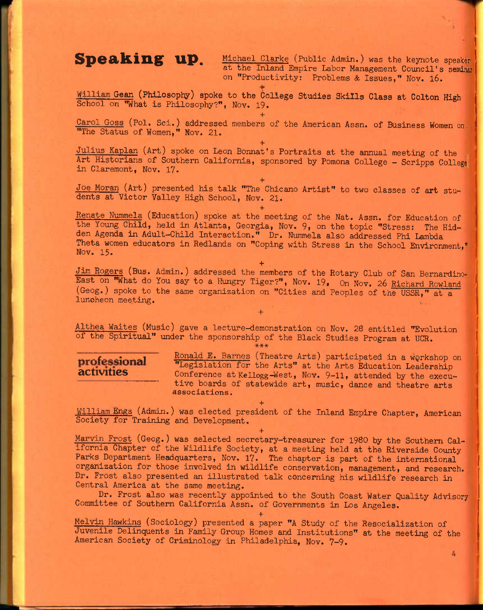**Speaking up.** Michael Clarke (Public Admin.) was the keynote speaker at the Inland Empire Labor Management Council's seminar on "Productivity: Problems & Issues," Nov. 16.

William Gean (Philosophy) spoke to the College Studies Skills Class at Colton High School on "What is Philosophy?", Nov. 19.

**+** 

Carol Goss (Pol. Sci.) addressed members of the American Assn. of Business Women on- "The Status of Women," Nov. 21.

**+**  Julius Kaplan (Art) spoke on Leon Bonnat's Portraits at the annual meeting of the Art Historians of Southern California, sponsored by Pomona College - Scripps College in Claremont, Nov. 17.

**+**  Joe Moran (Art) presented his talk "The Chicano Artist" to two classes of art students at Victor Valley High School, Nov. 21.

**+** 

Renate Nummela (Education) spoke at the meeting of the Nat. Assn. for Education of the Young Child, held in Atlanta, Georgia, Nov. 9, on the topic "Stress: The Hidden Agenda in Adult-Child Interaction." Dr. Nummela also addressed Phi Lambda Theta women educators in Redlands on "Coping with Stress in the School Environment," Nov. 15.

**+**  Jim Rogers (Bus. Admin.) addressed the members of the Rotary Club of San Bernardino-East on "What do You say to a Hungry Tiger?", Nov. 19. On Nov. 26 Richard Rowland (Geog.) spoke to the same organization on "Cities and Peoples of the USSR," at a luncheon meeting. The contract of the contract of the contract of the contract of the contract of the contract of the contract of the contract of the contract of the contract of the contract of the contract of the contract

Althea Waites (Music) gave a lecture-demonstration on Nov. 28 entitled "Evolution of the Spiritual" under the sponsorship of the Black Studies Program at UCR.

**+** 

### **\*\*\***

**professional** Ronald E. Barnes (Theatre Arts) participated in a workshop on "Legislation for the Arts" at the Arts Education Leadership activities Conference at Kellogg-West, Nov. 9-11, attended by the executive boards of statewide art, music, dance and theatre arts associations.

William Engs (Admin.) was elected president of the Inland Empire Chapter, American Society for Training and Development.

**+**  Marvin Frost (Geog.) was selected secretary-treasurer for 1980 by the Southern California Chapter of the Wildlife Society, at a meeting held at the Riverside County Parks Department Headquarters, Nov. 17. The chapter is part of the international organization for those involved in wildlife conservation, management, and research. Dr. Frost also presented an illustrated talk concerning his wildlife research in Central America at the same meeting.

Dr. Frost also was recently appointed to the South Coast Water Quality Advisory Committee of Southern California Assn. of Governments in Los Angeles.

**+**  Melvin Hawkins (Sociology) presented a paper "A Study of the Resocialization of Juvenile Delinquents in Family Group Homes and Institutions" at the meeting of the American Society of Criminology in Philadelphia, Nov. 7-9.